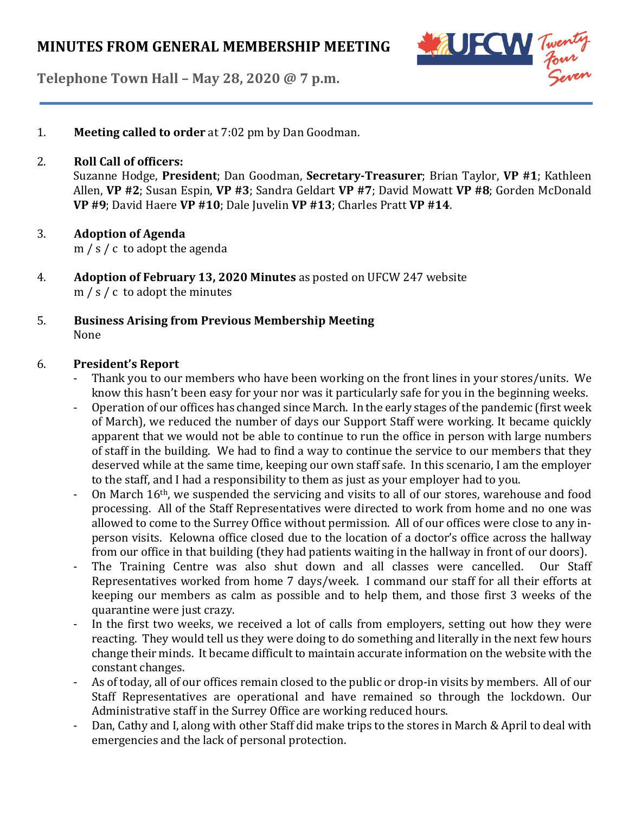



1. **Meeting called to order** at 7:02 pm by Dan Goodman.

### 2. **Roll Call of officers:**

Suzanne Hodge, **President**; Dan Goodman, **Secretary-Treasurer**; Brian Taylor, **VP #1**; Kathleen Allen, **VP #2**; Susan Espin, **VP #3**; Sandra Geldart **VP #7**; David Mowatt **VP #8**; Gorden McDonald **VP #9**; David Haere **VP #10**; Dale Juvelin **VP #13**; Charles Pratt **VP #14**.

# 3. **Adoption of Agenda**

m / s / c to adopt the agenda

- 4. **Adoption of February 13, 2020 Minutes** as posted on UFCW 247 website m / s / c to adopt the minutes
- 5. **Business Arising from Previous Membership Meeting** None

#### 6. **President's Report**

- Thank you to our members who have been working on the front lines in your stores/units. We know this hasn't been easy for your nor was it particularly safe for you in the beginning weeks.
- Operation of our offices has changed since March. In the early stages of the pandemic (first week of March), we reduced the number of days our Support Staff were working. It became quickly apparent that we would not be able to continue to run the office in person with large numbers of staff in the building. We had to find a way to continue the service to our members that they deserved while at the same time, keeping our own staff safe. In this scenario, I am the employer to the staff, and I had a responsibility to them as just as your employer had to you.
- On March 16th, we suspended the servicing and visits to all of our stores, warehouse and food processing. All of the Staff Representatives were directed to work from home and no one was allowed to come to the Surrey Office without permission. All of our offices were close to any inperson visits. Kelowna office closed due to the location of a doctor's office across the hallway from our office in that building (they had patients waiting in the hallway in front of our doors).
- The Training Centre was also shut down and all classes were cancelled. Our Staff Representatives worked from home 7 days/week. I command our staff for all their efforts at keeping our members as calm as possible and to help them, and those first 3 weeks of the quarantine were just crazy.
- In the first two weeks, we received a lot of calls from employers, setting out how they were reacting. They would tell us they were doing to do something and literally in the next few hours change their minds. It became difficult to maintain accurate information on the website with the constant changes.
- As of today, all of our offices remain closed to the public or drop-in visits by members. All of our Staff Representatives are operational and have remained so through the lockdown. Our Administrative staff in the Surrey Office are working reduced hours.
- Dan, Cathy and I, along with other Staff did make trips to the stores in March & April to deal with emergencies and the lack of personal protection.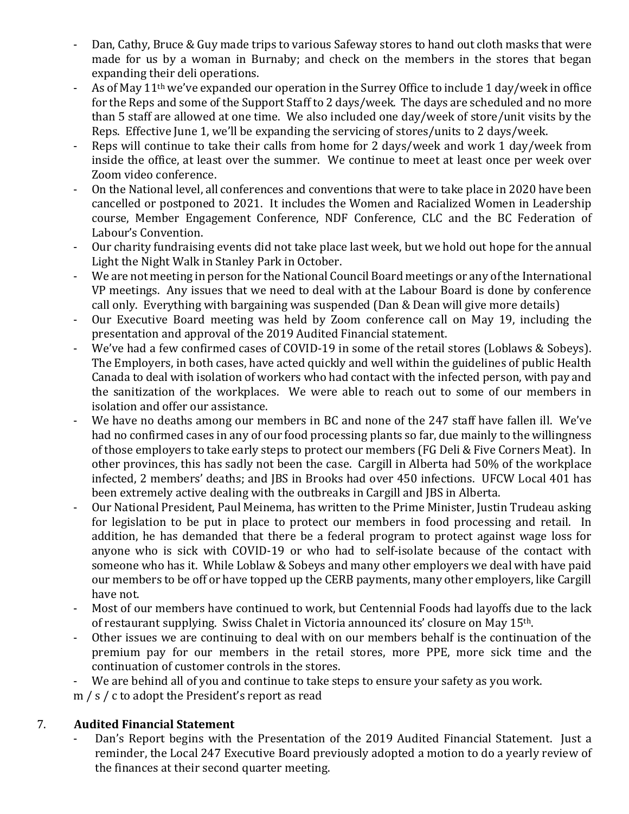- Dan, Cathy, Bruce & Guy made trips to various Safeway stores to hand out cloth masks that were made for us by a woman in Burnaby; and check on the members in the stores that began expanding their deli operations.
- As of May 11<sup>th</sup> we've expanded our operation in the Surrey Office to include 1 day/week in office for the Reps and some of the Support Staff to 2 days/week. The days are scheduled and no more than 5 staff are allowed at one time. We also included one day/week of store/unit visits by the Reps. Effective June 1, we'll be expanding the servicing of stores/units to 2 days/week.
- Reps will continue to take their calls from home for 2 days/week and work 1 day/week from inside the office, at least over the summer. We continue to meet at least once per week over Zoom video conference.
- On the National level, all conferences and conventions that were to take place in 2020 have been cancelled or postponed to 2021. It includes the Women and Racialized Women in Leadership course, Member Engagement Conference, NDF Conference, CLC and the BC Federation of Labour's Convention.
- Our charity fundraising events did not take place last week, but we hold out hope for the annual Light the Night Walk in Stanley Park in October.
- We are not meeting in person for the National Council Board meetings or any of the International VP meetings. Any issues that we need to deal with at the Labour Board is done by conference call only. Everything with bargaining was suspended (Dan & Dean will give more details)
- Our Executive Board meeting was held by Zoom conference call on May 19, including the presentation and approval of the 2019 Audited Financial statement.
- We've had a few confirmed cases of COVID-19 in some of the retail stores (Loblaws & Sobeys). The Employers, in both cases, have acted quickly and well within the guidelines of public Health Canada to deal with isolation of workers who had contact with the infected person, with pay and the sanitization of the workplaces. We were able to reach out to some of our members in isolation and offer our assistance.
- We have no deaths among our members in BC and none of the 247 staff have fallen ill. We've had no confirmed cases in any of our food processing plants so far, due mainly to the willingness of those employers to take early steps to protect our members (FG Deli & Five Corners Meat). In other provinces, this has sadly not been the case. Cargill in Alberta had 50% of the workplace infected, 2 members' deaths; and JBS in Brooks had over 450 infections. UFCW Local 401 has been extremely active dealing with the outbreaks in Cargill and JBS in Alberta.
- Our National President, Paul Meinema, has written to the Prime Minister, Justin Trudeau asking for legislation to be put in place to protect our members in food processing and retail. In addition, he has demanded that there be a federal program to protect against wage loss for anyone who is sick with COVID-19 or who had to self-isolate because of the contact with someone who has it. While Loblaw & Sobeys and many other employers we deal with have paid our members to be off or have topped up the CERB payments, many other employers, like Cargill have not.
- Most of our members have continued to work, but Centennial Foods had layoffs due to the lack of restaurant supplying. Swiss Chalet in Victoria announced its' closure on May 15th.
- Other issues we are continuing to deal with on our members behalf is the continuation of the premium pay for our members in the retail stores, more PPE, more sick time and the continuation of customer controls in the stores.
- We are behind all of you and continue to take steps to ensure your safety as you work.
- m / s / c to adopt the President's report as read

# 7. **Audited Financial Statement**

Dan's Report begins with the Presentation of the 2019 Audited Financial Statement. Just a reminder, the Local 247 Executive Board previously adopted a motion to do a yearly review of the finances at their second quarter meeting.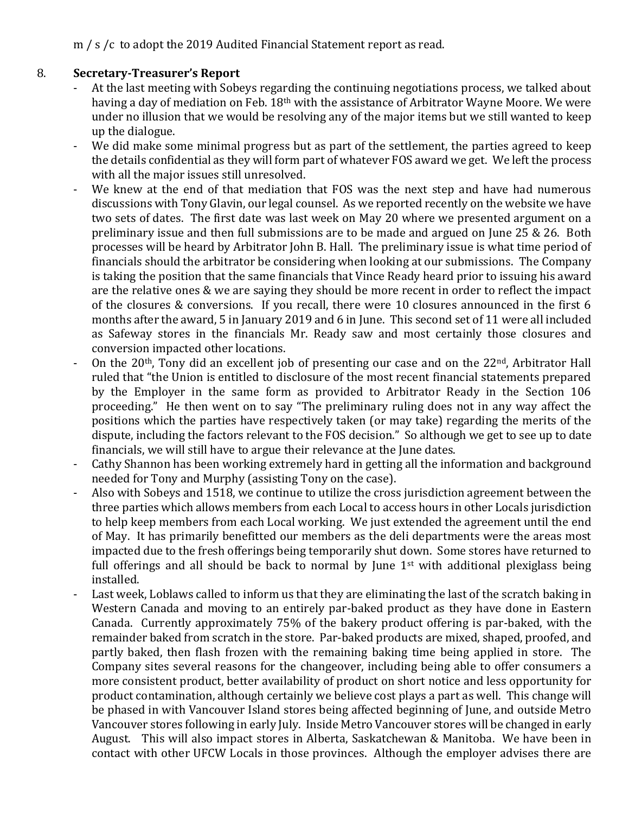# m / s /c to adopt the 2019 Audited Financial Statement report as read.

# 8. **Secretary-Treasurer's Report**

- At the last meeting with Sobeys regarding the continuing negotiations process, we talked about having a day of mediation on Feb. 18<sup>th</sup> with the assistance of Arbitrator Wayne Moore. We were under no illusion that we would be resolving any of the major items but we still wanted to keep up the dialogue.
- We did make some minimal progress but as part of the settlement, the parties agreed to keep the details confidential as they will form part of whatever FOS award we get. We left the process with all the major issues still unresolved.
- We knew at the end of that mediation that FOS was the next step and have had numerous discussions with Tony Glavin, our legal counsel. As we reported recently on the website we have two sets of dates. The first date was last week on May 20 where we presented argument on a preliminary issue and then full submissions are to be made and argued on June 25 & 26. Both processes will be heard by Arbitrator John B. Hall. The preliminary issue is what time period of financials should the arbitrator be considering when looking at our submissions. The Company is taking the position that the same financials that Vince Ready heard prior to issuing his award are the relative ones & we are saying they should be more recent in order to reflect the impact of the closures & conversions. If you recall, there were 10 closures announced in the first 6 months after the award, 5 in January 2019 and 6 in June. This second set of 11 were all included as Safeway stores in the financials Mr. Ready saw and most certainly those closures and conversion impacted other locations.
- On the 20<sup>th</sup>, Tony did an excellent job of presenting our case and on the 22<sup>nd</sup>, Arbitrator Hall ruled that "the Union is entitled to disclosure of the most recent financial statements prepared by the Employer in the same form as provided to Arbitrator Ready in the Section 106 proceeding." He then went on to say "The preliminary ruling does not in any way affect the positions which the parties have respectively taken (or may take) regarding the merits of the dispute, including the factors relevant to the FOS decision." So although we get to see up to date financials, we will still have to argue their relevance at the June dates.
- Cathy Shannon has been working extremely hard in getting all the information and background needed for Tony and Murphy (assisting Tony on the case).
- Also with Sobeys and 1518, we continue to utilize the cross jurisdiction agreement between the three parties which allows members from each Local to access hours in other Locals jurisdiction to help keep members from each Local working. We just extended the agreement until the end of May. It has primarily benefitted our members as the deli departments were the areas most impacted due to the fresh offerings being temporarily shut down. Some stores have returned to full offerings and all should be back to normal by June  $1<sup>st</sup>$  with additional plexiglass being installed.
- Last week, Loblaws called to inform us that they are eliminating the last of the scratch baking in Western Canada and moving to an entirely par-baked product as they have done in Eastern Canada. Currently approximately 75% of the bakery product offering is par-baked, with the remainder baked from scratch in the store. Par-baked products are mixed, shaped, proofed, and partly baked, then flash frozen with the remaining baking time being applied in store. The Company sites several reasons for the changeover, including being able to offer consumers a more consistent product, better availability of product on short notice and less opportunity for product contamination, although certainly we believe cost plays a part as well. This change will be phased in with Vancouver Island stores being affected beginning of June, and outside Metro Vancouver stores following in early July. Inside Metro Vancouver stores will be changed in early August. This will also impact stores in Alberta, Saskatchewan & Manitoba. We have been in contact with other UFCW Locals in those provinces. Although the employer advises there are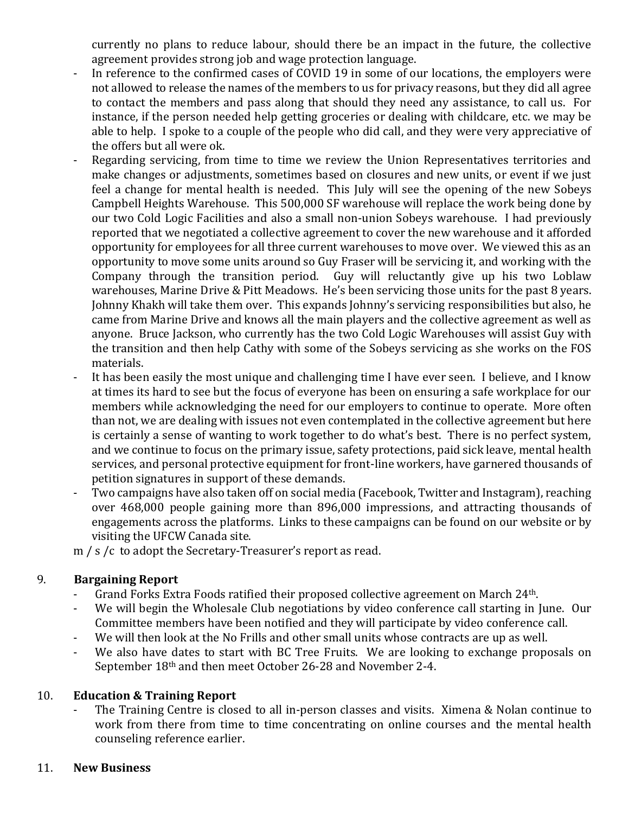currently no plans to reduce labour, should there be an impact in the future, the collective agreement provides strong job and wage protection language.

- In reference to the confirmed cases of COVID 19 in some of our locations, the employers were not allowed to release the names of the members to us for privacy reasons, but they did all agree to contact the members and pass along that should they need any assistance, to call us. For instance, if the person needed help getting groceries or dealing with childcare, etc. we may be able to help. I spoke to a couple of the people who did call, and they were very appreciative of the offers but all were ok.
- Regarding servicing, from time to time we review the Union Representatives territories and make changes or adjustments, sometimes based on closures and new units, or event if we just feel a change for mental health is needed. This July will see the opening of the new Sobeys Campbell Heights Warehouse. This 500,000 SF warehouse will replace the work being done by our two Cold Logic Facilities and also a small non-union Sobeys warehouse. I had previously reported that we negotiated a collective agreement to cover the new warehouse and it afforded opportunity for employees for all three current warehouses to move over. We viewed this as an opportunity to move some units around so Guy Fraser will be servicing it, and working with the Company through the transition period. Guy will reluctantly give up his two Loblaw warehouses, Marine Drive & Pitt Meadows. He's been servicing those units for the past 8 years. Johnny Khakh will take them over. This expands Johnny's servicing responsibilities but also, he came from Marine Drive and knows all the main players and the collective agreement as well as anyone. Bruce Jackson, who currently has the two Cold Logic Warehouses will assist Guy with the transition and then help Cathy with some of the Sobeys servicing as she works on the FOS materials.
- It has been easily the most unique and challenging time I have ever seen. I believe, and I know at times its hard to see but the focus of everyone has been on ensuring a safe workplace for our members while acknowledging the need for our employers to continue to operate. More often than not, we are dealing with issues not even contemplated in the collective agreement but here is certainly a sense of wanting to work together to do what's best. There is no perfect system, and we continue to focus on the primary issue, safety protections, paid sick leave, mental health services, and personal protective equipment for front-line workers, have garnered thousands of petition signatures in support of these demands.
- Two campaigns have also taken off on social media (Facebook, Twitter and Instagram), reaching over 468,000 people gaining more than 896,000 impressions, and attracting thousands of engagements across the platforms. Links to these campaigns can be found on our website or by visiting the UFCW Canada site.

m / s /c to adopt the Secretary-Treasurer's report as read.

#### 9. **Bargaining Report**

- Grand Forks Extra Foods ratified their proposed collective agreement on March 24<sup>th</sup>.
- We will begin the Wholesale Club negotiations by video conference call starting in June. Our Committee members have been notified and they will participate by video conference call.
- We will then look at the No Frills and other small units whose contracts are up as well.
- We also have dates to start with BC Tree Fruits. We are looking to exchange proposals on September 18th and then meet October 26-28 and November 2-4.

#### 10. **Education & Training Report**

The Training Centre is closed to all in-person classes and visits. Ximena & Nolan continue to work from there from time to time concentrating on online courses and the mental health counseling reference earlier.

#### 11. **New Business**